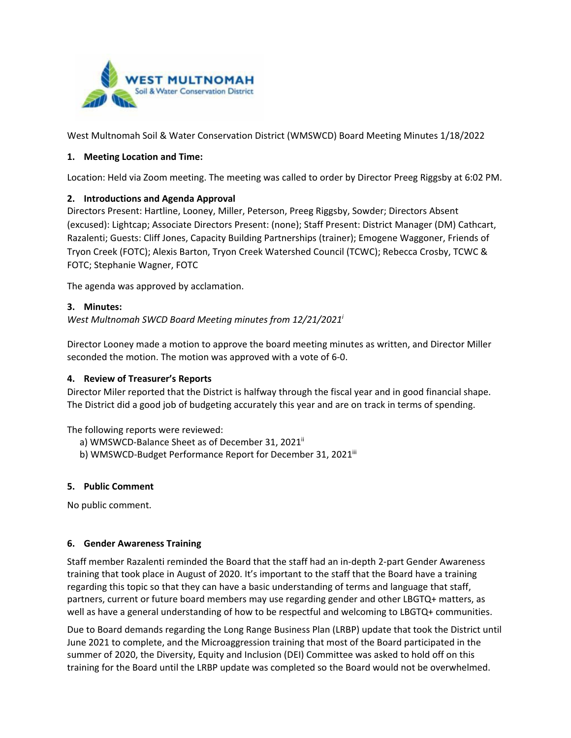

West Multnomah Soil & Water Conservation District (WMSWCD) Board Meeting Minutes 1/18/2022

### **1. Meeting Location and Time:**

Location: Held via Zoom meeting. The meeting was called to order by Director Preeg Riggsby at 6:02 PM.

### **2. Introductions and Agenda Approval**

Directors Present: Hartline, Looney, Miller, Peterson, Preeg Riggsby, Sowder; Directors Absent (excused): Lightcap; Associate Directors Present: (none); Staff Present: District Manager (DM) Cathcart, Razalenti; Guests: Cliff Jones, Capacity Building Partnerships (trainer); Emogene Waggoner, Friends of Tryon Creek (FOTC); Alexis Barton, Tryon Creek Watershed Council (TCWC); Rebecca Crosby, TCWC & FOTC; Stephanie Wagner, FOTC

The agenda was approved by acclamation.

### **3. Minutes:**

*West Multnomah SWCD Board Meeting minutes from 12/21/2021i*

Director Looney made a motion to approve the board meeting minutes as written, and Director Miller seconded the motion. The motion was approved with a vote of 6-0.

### **4. Review of Treasurer's Reports**

Director Miler reported that the District is halfway through the fiscal year and in good financial shape. The District did a good job of budgeting accurately this year and are on track in terms of spending.

The following reports were reviewed:

- a) WMSWCD-Balance Sheet as of December 31, 2021<sup>ii</sup>
- b) WMSWCD-Budget Performance Report for December 31, 2021<sup>iii</sup>

### **5. Public Comment**

No public comment.

### **6. Gender Awareness Training**

Staff member Razalenti reminded the Board that the staff had an in-depth 2-part Gender Awareness training that took place in August of 2020. It's important to the staff that the Board have a training regarding this topic so that they can have a basic understanding of terms and language that staff, partners, current or future board members may use regarding gender and other LBGTQ+ matters, as well as have a general understanding of how to be respectful and welcoming to LBGTQ+ communities.

Due to Board demands regarding the Long Range Business Plan (LRBP) update that took the District until June 2021 to complete, and the Microaggression training that most of the Board participated in the summer of 2020, the Diversity, Equity and Inclusion (DEI) Committee was asked to hold off on this training for the Board until the LRBP update was completed so the Board would not be overwhelmed.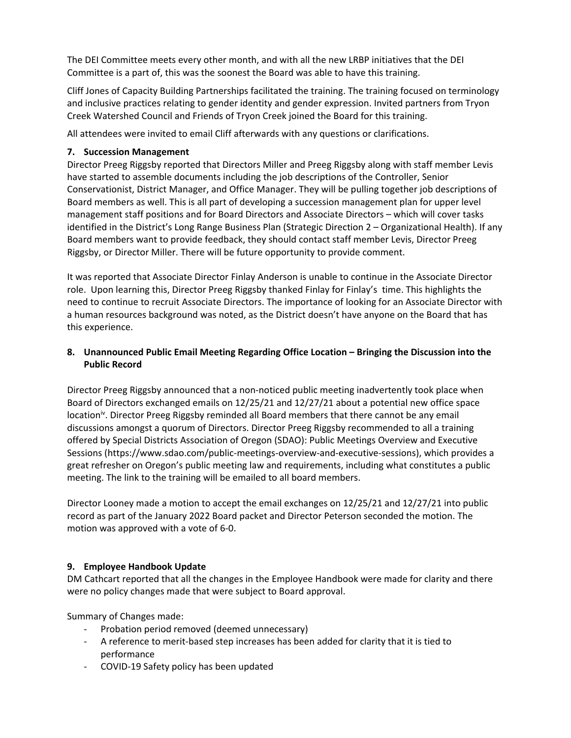The DEI Committee meets every other month, and with all the new LRBP initiatives that the DEI Committee is a part of, this was the soonest the Board was able to have this training.

Cliff Jones of Capacity Building Partnerships facilitated the training. The training focused on terminology and inclusive practices relating to gender identity and gender expression. Invited partners from Tryon Creek Watershed Council and Friends of Tryon Creek joined the Board for this training.

All attendees were invited to email Cliff afterwards with any questions or clarifications.

## **7. Succession Management**

Director Preeg Riggsby reported that Directors Miller and Preeg Riggsby along with staff member Levis have started to assemble documents including the job descriptions of the Controller, Senior Conservationist, District Manager, and Office Manager. They will be pulling together job descriptions of Board members as well. This is all part of developing a succession management plan for upper level management staff positions and for Board Directors and Associate Directors – which will cover tasks identified in the District's Long Range Business Plan (Strategic Direction 2 – Organizational Health). If any Board members want to provide feedback, they should contact staff member Levis, Director Preeg Riggsby, or Director Miller. There will be future opportunity to provide comment.

It was reported that Associate Director Finlay Anderson is unable to continue in the Associate Director role. Upon learning this, Director Preeg Riggsby thanked Finlay for Finlay's time. This highlights the need to continue to recruit Associate Directors. The importance of looking for an Associate Director with a human resources background was noted, as the District doesn't have anyone on the Board that has this experience.

## **8. Unannounced Public Email Meeting Regarding Office Location – Bringing the Discussion into the Public Record**

Director Preeg Riggsby announced that a non-noticed public meeting inadvertently took place when Board of Directors exchanged emails on 12/25/21 and 12/27/21 about a potential new office space location<sup>iv</sup>. Director Preeg Riggsby reminded all Board members that there cannot be any email discussions amongst a quorum of Directors. Director Preeg Riggsby recommended to all a training offered by Special Districts Association of Oregon (SDAO): [Public Meetings Overview and Executive](https://www.sdao.com/public-meetings-overview-and-executive-sessions)  [Sessions](https://www.sdao.com/public-meetings-overview-and-executive-sessions) (https://www.sdao.com/public-meetings-overview-and-executive-sessions), which provides a great refresher on Oregon's public meeting law and requirements, including what constitutes a public meeting. The link to the training will be emailed to all board members.

Director Looney made a motion to accept the email exchanges on 12/25/21 and 12/27/21 into public record as part of the January 2022 Board packet and Director Peterson seconded the motion. The motion was approved with a vote of 6-0.

# **9. Employee Handbook Update**

DM Cathcart reported that all the changes in the Employee Handbook were made for clarity and there were no policy changes made that were subject to Board approval.

Summary of Changes made:

- Probation period removed (deemed unnecessary)
- A reference to merit-based step increases has been added for clarity that it is tied to performance
- COVID-19 Safety policy has been updated